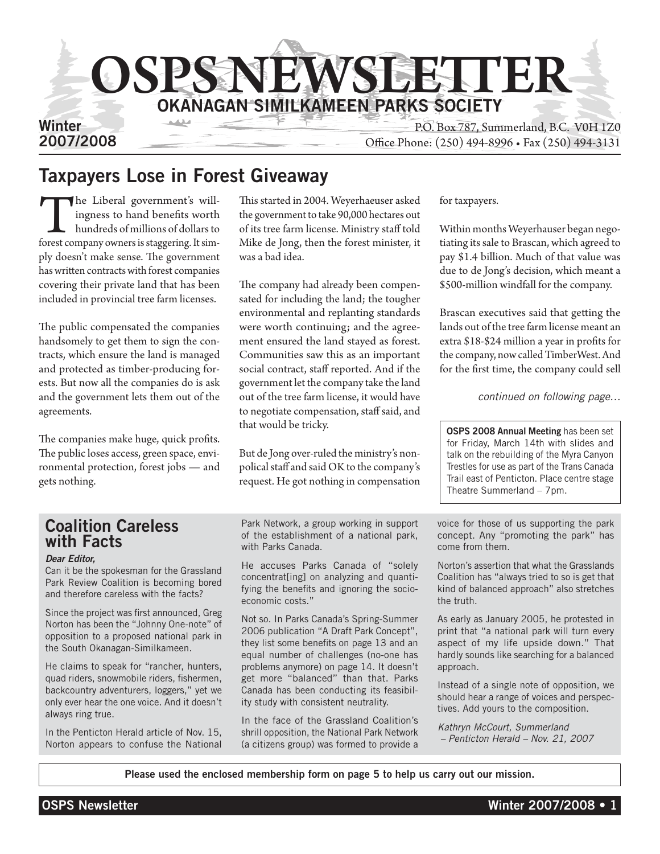

# Taxpayers Lose in Forest Giveaway

The Liberal government's will-<br>ingness to hand benefits worth<br>hundreds of millions of dollars to<br>forest company owners is staggering. It simingness to hand benefits worth hundreds of millions of dollars to ply doesn't make sense. The government has written contracts with forest companies covering their private land that has been included in provincial tree farm licenses.

The public compensated the companies handsomely to get them to sign the contracts, which ensure the land is managed and protected as timber-producing forests. But now all the companies do is ask and the government lets them out of the agreements.

The companies make huge, quick profits. The public loses access, green space, environmental protection, forest jobs — and gets nothing.

This started in 2004. Weyerhaeuser asked the government to take 90,000 hectares out of its tree farm license. Ministry staff told Mike de Jong, then the forest minister, it was a bad idea.

The company had already been compensated for including the land; the tougher environmental and replanting standards were worth continuing; and the agreement ensured the land stayed as forest. Communities saw this as an important social contract, staff reported. And if the government let the company take the land out of the tree farm license, it would have to negotiate compensation, staff said, and that would be tricky.

But de Jong over-ruled the ministry's nonpolical staff and said OK to the company's request. He got nothing in compensation

for taxpayers.

Within months Weyerhauser began negotiating its sale to Brascan, which agreed to pay \$1.4 billion. Much of that value was due to de Jong's decision, which meant a \$500-million windfall for the company.

Brascan executives said that getting the lands out of the tree farm license meant an extra \$18-\$24 million a year in profits for the company, now called TimberWest. And for the first time, the company could sell

*continued on following page…*

OSPS 2008 Annual Meeting has been set for Friday, March 14th with slides and talk on the rebuilding of the Myra Canyon Trestles for use as part of the Trans Canada Trail east of Penticton. Place centre stage Theatre Summerland – 7pm.

### Coalition Careless with Facts

#### *Dear Editor,*

Can it be the spokesman for the Grassland Park Review Coalition is becoming bored and therefore careless with the facts?

Since the project was first announced, Greg Norton has been the "Johnny One-note" of opposition to a proposed national park in the South Okanagan-Similkameen.

He claims to speak for "rancher, hunters, quad riders, snowmobile riders, fishermen, backcountry adventurers, loggers," yet we only ever hear the one voice. And it doesn't always ring true.

In the Penticton Herald article of Nov. 15, Norton appears to confuse the National

Park Network, a group working in support of the establishment of a national park, with Parks Canada.

He accuses Parks Canada of "solely concentrat[ing] on analyzing and quantifying the benefits and ignoring the socioeconomic costs."

Not so. In Parks Canada's Spring-Summer 2006 publication "A Draft Park Concept", they list some benefits on page 13 and an equal number of challenges (no-one has problems anymore) on page 14. It doesn't get more "balanced" than that. Parks Canada has been conducting its feasibility study with consistent neutrality.

In the face of the Grassland Coalition's shrill opposition, the National Park Network (a citizens group) was formed to provide a

voice for those of us supporting the park concept. Any "promoting the park" has come from them.

Norton's assertion that what the Grasslands Coalition has "always tried to so is get that kind of balanced approach" also stretches the truth.

As early as January 2005, he protested in print that "a national park will turn every aspect of my life upside down." That hardly sounds like searching for a balanced approach.

Instead of a single note of opposition, we should hear a range of voices and perspectives. Add yours to the composition.

*Kathryn McCourt, Summerland – Penticton Herald – Nov. 21, 2007*

Please used the enclosed membership form on page 5 to help us carry out our mission.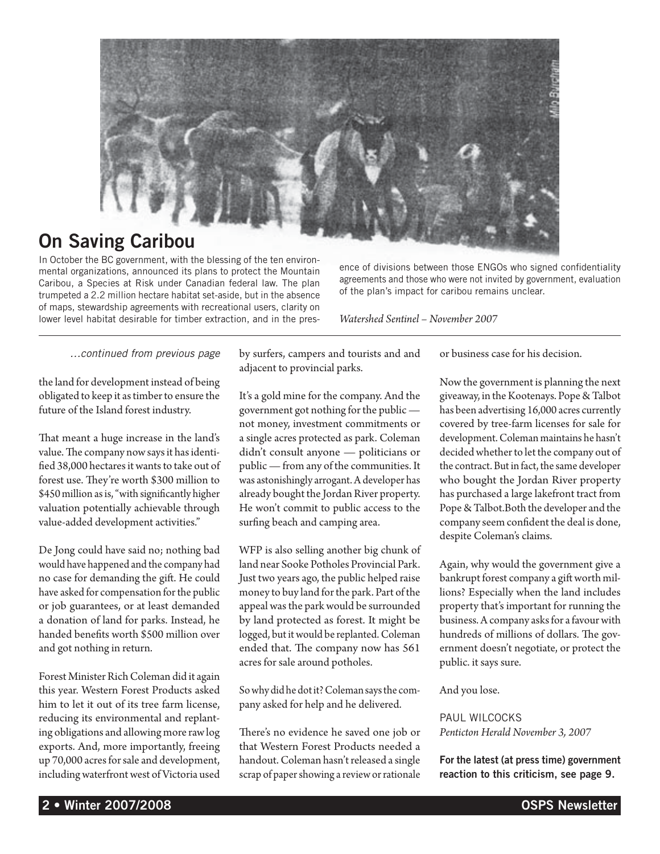

# On Saving Caribou

In October the BC government, with the blessing of the ten environmental organizations, announced its plans to protect the Mountain Caribou, a Species at Risk under Canadian federal law. The plan trumpeted a 2.2 million hectare habitat set-aside, but in the absence of maps, stewardship agreements with recreational users, clarity on lower level habitat desirable for timber extraction, and in the pres-

ence of divisions between those ENGOs who signed confidentiality agreements and those who were not invited by government, evaluation of the plan's impact for caribou remains unclear.

*Watershed Sentinel – November 2007*

*…continued from previous page*

the land for development instead of being obligated to keep it as timber to ensure the future of the Island forest industry.

That meant a huge increase in the land's value. The company now says it has identified 38,000 hectares it wants to take out of forest use. They're worth \$300 million to \$450 million as is, "with significantly higher valuation potentially achievable through value-added development activities."

De Jong could have said no; nothing bad would have happened and the company had no case for demanding the gift. He could have asked for compensation for the public or job guarantees, or at least demanded a donation of land for parks. Instead, he handed benefits worth \$500 million over and got nothing in return.

Forest Minister Rich Coleman did it again this year. Western Forest Products asked him to let it out of its tree farm license, reducing its environmental and replanting obligations and allowing more raw log exports. And, more importantly, freeing up 70,000 acres for sale and development, including waterfront west of Victoria used

by surfers, campers and tourists and and adjacent to provincial parks.

It's a gold mine for the company. And the government got nothing for the public not money, investment commitments or a single acres protected as park. Coleman didn't consult anyone — politicians or public — from any of the communities. It was astonishingly arrogant. A developer has already bought the Jordan River property. He won't commit to public access to the surfing beach and camping area.

WFP is also selling another big chunk of land near Sooke Potholes Provincial Park. Just two years ago, the public helped raise money to buy land for the park. Part of the appeal was the park would be surrounded by land protected as forest. It might be logged, but it would be replanted. Coleman ended that. The company now has 561 acres for sale around potholes.

So why did he dot it? Coleman says the company asked for help and he delivered.

There's no evidence he saved one job or that Western Forest Products needed a handout. Coleman hasn't released a single scrap of paper showing a review or rationale or business case for his decision.

Now the government is planning the next giveaway, in the Kootenays. Pope & Talbot has been advertising 16,000 acres currently covered by tree-farm licenses for sale for development. Coleman maintains he hasn't decided whether to let the company out of the contract. But in fact, the same developer who bought the Jordan River property has purchased a large lakefront tract from Pope & Talbot.Both the developer and the company seem confident the deal is done, despite Coleman's claims.

Again, why would the government give a bankrupt forest company a gift worth millions? Especially when the land includes property that's important for running the business. A company asks for a favour with hundreds of millions of dollars. The government doesn't negotiate, or protect the public. it says sure.

And you lose.

Paul Wilcocks *Penticton Herald November 3, 2007*

For the latest (at press time) government reaction to this criticism, see page 9.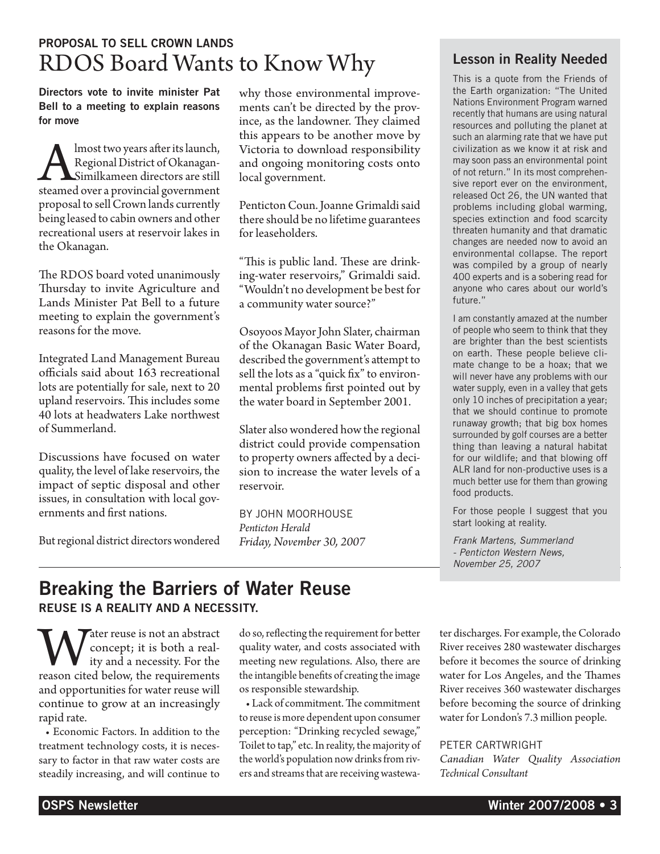# Proposal to sell crown lands RDOS Board Wants to Know Why

Directors vote to invite minister Pat Bell to a meeting to explain reasons for move

**Almost two years after its launch,<br>Regional District of Okanagan-Similkameen directors are still<br>steamed over a provincial government** Regional District of Okanagan-Similkameen directors are still steamed over a provincial government proposal to sell Crown lands currently being leased to cabin owners and other recreational users at reservoir lakes in the Okanagan.

The RDOS board voted unanimously Thursday to invite Agriculture and Lands Minister Pat Bell to a future meeting to explain the government's reasons for the move.

Integrated Land Management Bureau officials said about 163 recreational lots are potentially for sale, next to 20 upland reservoirs. This includes some 40 lots at headwaters Lake northwest of Summerland.

Discussions have focused on water quality, the level of lake reservoirs, the impact of septic disposal and other issues, in consultation with local governments and first nations.

But regional district directors wondered

why those environmental improvements can't be directed by the province, as the landowner. They claimed this appears to be another move by Victoria to download responsibility and ongoing monitoring costs onto local government.

Penticton Coun. Joanne Grimaldi said there should be no lifetime guarantees for leaseholders.

"This is public land. These are drinking-water reservoirs," Grimaldi said. "Wouldn't no development be best for a community water source?"

Osoyoos Mayor John Slater, chairman of the Okanagan Basic Water Board, described the government's attempt to sell the lots as a "quick fix" to environmental problems first pointed out by the water board in September 2001.

Slater also wondered how the regional district could provide compensation to property owners affected by a decision to increase the water levels of a reservoir.

by John Moorhouse *Penticton Herald Friday, November 30, 2007*

#### Lesson in Reality Needed

This is a quote from the Friends of the Earth organization: "The United Nations Environment Program warned recently that humans are using natural resources and polluting the planet at such an alarming rate that we have put civilization as we know it at risk and may soon pass an environmental point of not return." In its most comprehensive report ever on the environment, released Oct 26, the UN wanted that problems including global warming, species extinction and food scarcity threaten humanity and that dramatic changes are needed now to avoid an environmental collapse. The report was compiled by a group of nearly 400 experts and is a sobering read for anyone who cares about our world's future."

I am constantly amazed at the number of people who seem to think that they are brighter than the best scientists on earth. These people believe climate change to be a hoax; that we will never have any problems with our water supply, even in a valley that gets only 10 inches of precipitation a year; that we should continue to promote runaway growth; that big box homes surrounded by golf courses are a better thing than leaving a natural habitat for our wildlife; and that blowing off ALR land for non-productive uses is a much better use for them than growing food products.

For those people I suggest that you start looking at reality.

*Frank Martens, Summerland - Penticton Western News, November 25, 2007*

### Breaking the Barriers of Water Reuse Reuse is a reality and a necessity.

Water reuse is not an abstract<br>concept; it is both a real-<br>reason cited below, the requirements concept; it is both a reality and a necessity. For the and opportunities for water reuse will continue to grow at an increasingly rapid rate.

• Economic Factors. In addition to the treatment technology costs, it is necessary to factor in that raw water costs are steadily increasing, and will continue to do so, reflecting the requirement for better quality water, and costs associated with meeting new regulations. Also, there are the intangible benefits of creating the image os responsible stewardship.

• Lack of commitment. The commitment to reuse is more dependent upon consumer perception: "Drinking recycled sewage," Toilet to tap," etc. In reality, the majority of the world's population now drinks from rivers and streams that are receiving wastewater discharges. For example, the Colorado River receives 280 wastewater discharges before it becomes the source of drinking water for Los Angeles, and the Thames River receives 360 wastewater discharges before becoming the source of drinking water for London's 7.3 million people.

PETER CARTWRIGHT

*Canadian Water Quality Association Technical Consultant*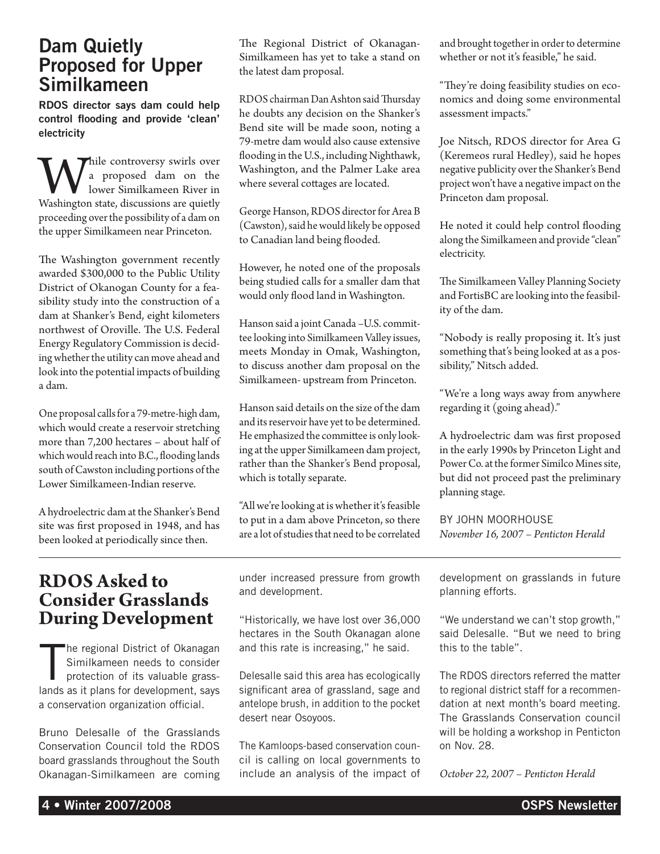## Dam Quietly Proposed for Upper Similkameen

RDOS director says dam could help control flooding and provide 'clean' electricity

While controversy swirls over<br>
lower Similkameen River in<br>
Washington state, discussions are quietly a proposed dam on the lower Similkameen River in proceeding over the possibility of a dam on the upper Similkameen near Princeton.

The Washington government recently awarded \$300,000 to the Public Utility District of Okanogan County for a feasibility study into the construction of a dam at Shanker's Bend, eight kilometers northwest of Oroville. The U.S. Federal Energy Regulatory Commission is deciding whether the utility can move ahead and look into the potential impacts of building a dam.

One proposal calls for a 79-metre-high dam, which would create a reservoir stretching more than 7,200 hectares – about half of which would reach into B.C., flooding lands south of Cawston including portions of the Lower Similkameen-Indian reserve.

A hydroelectric dam at the Shanker's Bend site was first proposed in 1948, and has been looked at periodically since then.

The Regional District of Okanagan-Similkameen has yet to take a stand on the latest dam proposal.

RDOS chairman Dan Ashton said Thursday he doubts any decision on the Shanker's Bend site will be made soon, noting a 79-metre dam would also cause extensive flooding in the U.S., including Nighthawk, Washington, and the Palmer Lake area where several cottages are located.

George Hanson, RDOS director for Area B (Cawston), said he would likely be opposed to Canadian land being flooded.

However, he noted one of the proposals being studied calls for a smaller dam that would only flood land in Washington.

Hanson said a joint Canada –U.S. committee looking into Similkameen Valley issues, meets Monday in Omak, Washington, to discuss another dam proposal on the Similkameen- upstream from Princeton.

Hanson said details on the size of the dam and its reservoir have yet to be determined. He emphasized the committee is only looking at the upper Similkameen dam project, rather than the Shanker's Bend proposal, which is totally separate.

"All we're looking at is whether it's feasible to put in a dam above Princeton, so there are a lot of studies that need to be correlated and brought together in order to determine whether or not it's feasible," he said.

"They're doing feasibility studies on economics and doing some environmental assessment impacts."

Joe Nitsch, RDOS director for Area G (Keremeos rural Hedley), said he hopes negative publicity over the Shanker's Bend project won't have a negative impact on the Princeton dam proposal.

He noted it could help control flooding along the Similkameen and provide "clean" electricity.

The Similkameen Valley Planning Society and FortisBC are looking into the feasibility of the dam.

"Nobody is really proposing it. It's just something that's being looked at as a possibility," Nitsch added.

"We're a long ways away from anywhere regarding it (going ahead)."

A hydroelectric dam was first proposed in the early 1990s by Princeton Light and Power Co. at the former Similco Mines site, but did not proceed past the preliminary planning stage.

By John Moorhouse *November 16, 2007 – Penticton Herald*

## **RDOS Asked to Consider Grasslands During Development**

T he regional District of Okanagan Similkameen needs to consider protection of its valuable grasslands as it plans for development, says a conservation organization official.

Bruno Delesalle of the Grasslands Conservation Council told the RDOS board grasslands throughout the South Okanagan-Similkameen are coming under increased pressure from growth and development.

"Historically, we have lost over 36,000 hectares in the South Okanagan alone and this rate is increasing," he said.

Delesalle said this area has ecologically significant area of grassland, sage and antelope brush, in addition to the pocket desert near Osoyoos.

The Kamloops-based conservation council is calling on local governments to include an analysis of the impact of development on grasslands in future planning efforts.

"We understand we can't stop growth," said Delesalle. "But we need to bring this to the table".

The RDOS directors referred the matter to regional district staff for a recommendation at next month's board meeting. The Grasslands Conservation council will be holding a workshop in Penticton on Nov. 28.

*October 22, 2007 – Penticton Herald*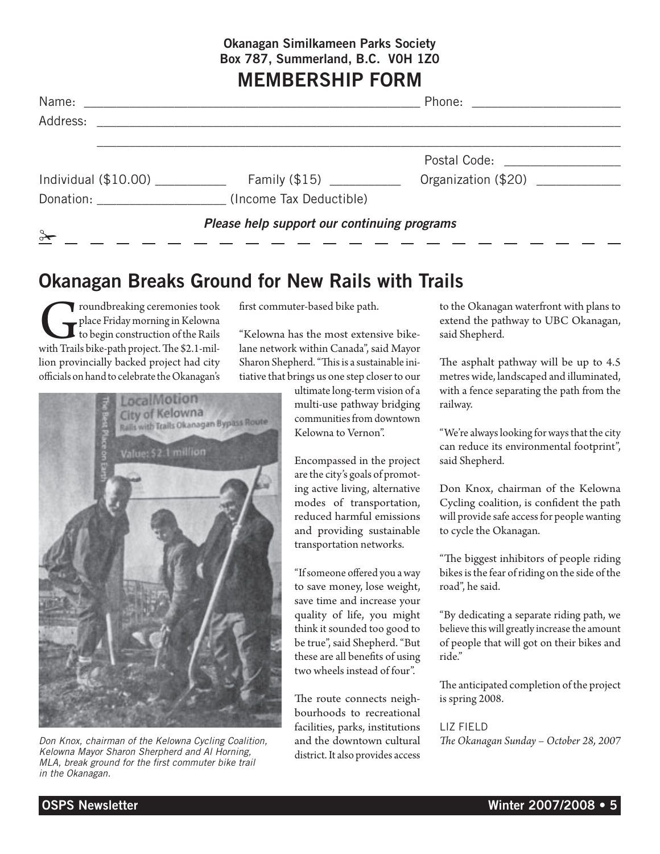### Okanagan Similkameen Parks Society Box 787, Summerland, B.C. V0H 1Z0

# MEMBERSHIP FORM

| Name:                                                        |                                   |                                       |  |  |  |  |
|--------------------------------------------------------------|-----------------------------------|---------------------------------------|--|--|--|--|
| Address:                                                     |                                   |                                       |  |  |  |  |
|                                                              |                                   | Postal Code: <u>_________________</u> |  |  |  |  |
| Individual $(\$10.00)$                                       | Family $(\$15)$ ___________       | Organization (\$20)                   |  |  |  |  |
|                                                              | Donation: (Income Tax Deductible) |                                       |  |  |  |  |
| Please help support our continuing programs<br>$\rightarrow$ |                                   |                                       |  |  |  |  |

# Okanagan Breaks Ground for New Rails with Trails

Troundbreaking ceremonies took<br>to begin construction of the Rails<br>with Trails bike-path project. The \$2.1-milplace Friday morning in Kelowna to begin construction of the Rails lion provincially backed project had city officials on hand to celebrate the Okanagan's



*Don Knox, chairman of the Kelowna Cycling Coalition, Kelowna Mayor Sharon Sherpherd and Al Horning, MLA, break ground for the first commuter bike trail in the Okanagan.*

first commuter-based bike path.

"Kelowna has the most extensive bikelane network within Canada", said Mayor Sharon Shepherd. "This is a sustainable initiative that brings us one step closer to our

> ultimate long-term vision of a multi-use pathway bridging communities from downtown Kelowna to Vernon".

> Encompassed in the project are the city's goals of promoting active living, alternative modes of transportation, reduced harmful emissions and providing sustainable transportation networks.

> "If someone offered you a way to save money, lose weight, save time and increase your quality of life, you might think it sounded too good to be true", said Shepherd. "But these are all benefits of using two wheels instead of four".

> The route connects neighbourhoods to recreational facilities, parks, institutions and the downtown cultural district. It also provides access

to the Okanagan waterfront with plans to extend the pathway to UBC Okanagan, said Shepherd.

The asphalt pathway will be up to 4.5 metres wide, landscaped and illuminated, with a fence separating the path from the railway.

"We're always looking for ways that the city can reduce its environmental footprint", said Shepherd.

Don Knox, chairman of the Kelowna Cycling coalition, is confident the path will provide safe access for people wanting to cycle the Okanagan.

"The biggest inhibitors of people riding bikes is the fear of riding on the side of the road", he said.

"By dedicating a separate riding path, we believe this will greatly increase the amount of people that will got on their bikes and ride."

The anticipated completion of the project is spring 2008.

LIZ FIFLD *The Okanagan Sunday – October 28, 2007*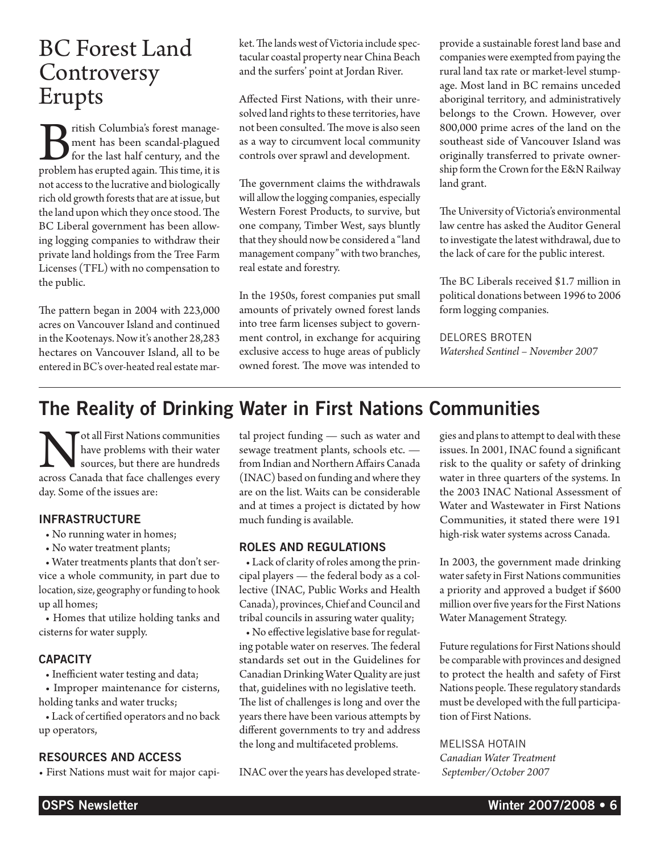# BC Forest Land **Controversy** Erupts

British Columbia's forest management has been scandal-plagued for the last half century, and the problem has erupted again. This time, it is ment has been scandal-plagued for the last half century, and the problem has erupted again. This time, it is not access to the lucrative and biologically rich old growth forests that are at issue, but the land upon which they once stood. The BC Liberal government has been allowing logging companies to withdraw their private land holdings from the Tree Farm Licenses (TFL) with no compensation to the public.

The pattern began in 2004 with 223,000 acres on Vancouver Island and continued in the Kootenays. Now it's another 28,283 hectares on Vancouver Island, all to be entered in BC's over-heated real estate market. The lands west of Victoria include spectacular coastal property near China Beach and the surfers' point at Jordan River.

Affected First Nations, with their unresolved land rights to these territories, have not been consulted. The move is also seen as a way to circumvent local community controls over sprawl and development.

The government claims the withdrawals will allow the logging companies, especially Western Forest Products, to survive, but one company, Timber West, says bluntly that they should now be considered a "land management company" with two branches, real estate and forestry.

In the 1950s, forest companies put small amounts of privately owned forest lands into tree farm licenses subject to government control, in exchange for acquiring exclusive access to huge areas of publicly owned forest. The move was intended to provide a sustainable forest land base and companies were exempted from paying the rural land tax rate or market-level stumpage. Most land in BC remains unceded aboriginal territory, and administratively belongs to the Crown. However, over 800,000 prime acres of the land on the southeast side of Vancouver Island was originally transferred to private ownership form the Crown for the E&N Railway land grant.

The University of Victoria's environmental law centre has asked the Auditor General to investigate the latest withdrawal, due to the lack of care for the public interest.

The BC Liberals received \$1.7 million in political donations between 1996 to 2006 form logging companies.

Delores Broten

*Watershed Sentinel – November 2007*

# The Reality of Drinking Water in First Nations Communities

Not all First Nations communities across Canada that face challenges every have problems with their water sources, but there are hundreds day. Some of the issues are:

#### **INFRASTRUCTURE**

- No running water in homes;
- No water treatment plants;

• Water treatments plants that don't service a whole community, in part due to location, size, geography or funding to hook up all homes;

• Homes that utilize holding tanks and cisterns for water supply.

#### **CAPACITY**

• Inefficient water testing and data;

• Improper maintenance for cisterns, holding tanks and water trucks;

• Lack of certified operators and no back up operators,

#### Resources and Access

• First Nations must wait for major capi-

tal project funding — such as water and sewage treatment plants, schools etc. from Indian and Northern Affairs Canada (INAC) based on funding and where they are on the list. Waits can be considerable and at times a project is dictated by how much funding is available.

#### Roles and Regulations

• Lack of clarity of roles among the principal players — the federal body as a collective (INAC, Public Works and Health Canada), provinces, Chief and Council and tribal councils in assuring water quality;

• No effective legislative base for regulating potable water on reserves. The federal standards set out in the Guidelines for Canadian Drinking Water Quality are just that, guidelines with no legislative teeth. The list of challenges is long and over the years there have been various attempts by different governments to try and address the long and multifaceted problems.

INAC over the years has developed strate-

gies and plans to attempt to deal with these issues. In 2001, INAC found a significant risk to the quality or safety of drinking water in three quarters of the systems. In the 2003 INAC National Assessment of Water and Wastewater in First Nations Communities, it stated there were 191 high-risk water systems across Canada.

In 2003, the government made drinking water safety in First Nations communities a priority and approved a budget if \$600 million over five years for the First Nations Water Management Strategy.

Future regulations for First Nations should be comparable with provinces and designed to protect the health and safety of First Nations people. These regulatory standards must be developed with the full participation of First Nations.

Melissa Hotain *Canadian Water Treatment September/October 2007*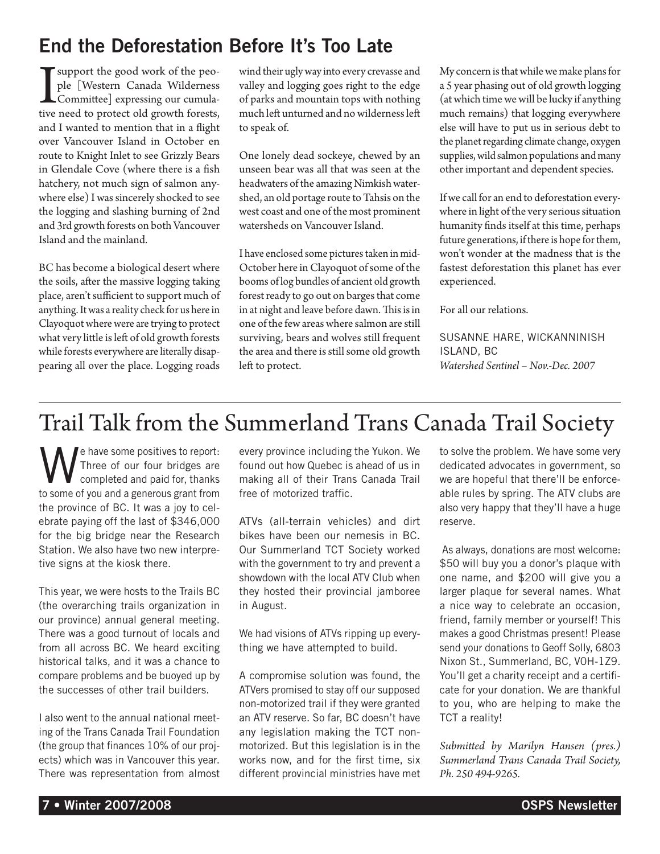# End the Deforestation Before It's Too Late

I support the good work of the peo-<br>ple [Western Canada Wilderness<br>Committee] expressing our cumula-<br>tive need to protect old growth forests, ple [Western Canada Wilderness Committee] expressing our cumulative need to protect old growth forests, and I wanted to mention that in a flight over Vancouver Island in October en route to Knight Inlet to see Grizzly Bears in Glendale Cove (where there is a fish hatchery, not much sign of salmon anywhere else) I was sincerely shocked to see the logging and slashing burning of 2nd and 3rd growth forests on both Vancouver Island and the mainland.

BC has become a biological desert where the soils, after the massive logging taking place, aren't sufficient to support much of anything. It was a reality check for us here in Clayoquot where were are trying to protect what very little is left of old growth forests while forests everywhere are literally disappearing all over the place. Logging roads wind their ugly way into every crevasse and valley and logging goes right to the edge of parks and mountain tops with nothing much left unturned and no wilderness left to speak of.

One lonely dead sockeye, chewed by an unseen bear was all that was seen at the headwaters of the amazing Nimkish watershed, an old portage route to Tahsis on the west coast and one of the most prominent watersheds on Vancouver Island.

I have enclosed some pictures taken in mid-October here in Clayoquot of some of the booms of log bundles of ancient old growth forest ready to go out on barges that come in at night and leave before dawn. This is in one of the few areas where salmon are still surviving, bears and wolves still frequent the area and there is still some old growth left to protect.

My concern is that while we make plans for a 5 year phasing out of old growth logging (at which time we will be lucky if anything much remains) that logging everywhere else will have to put us in serious debt to the planet regarding climate change, oxygen supplies, wild salmon populations and many other important and dependent species.

If we call for an end to deforestation everywhere in light of the very serious situation humanity finds itself at this time, perhaps future generations, if there is hope for them, won't wonder at the madness that is the fastest deforestation this planet has ever experienced.

For all our relations.

Susanne Hare, Wickanninish Island, BC *Watershed Sentinel – Nov.-Dec. 2007*

# Trail Talk from the Summerland Trans Canada Trail Society

e have some positives to report: Three of our four bridges are completed and paid for, thanks to some of you and a generous grant from the province of BC. It was a joy to celebrate paying off the last of \$346,000 for the big bridge near the Research Station. We also have two new interpretive signs at the kiosk there.

This year, we were hosts to the Trails BC (the overarching trails organization in our province) annual general meeting. There was a good turnout of locals and from all across BC. We heard exciting historical talks, and it was a chance to compare problems and be buoyed up by the successes of other trail builders.

I also went to the annual national meeting of the Trans Canada Trail Foundation (the group that finances 10% of our projects) which was in Vancouver this year. There was representation from almost every province including the Yukon. We found out how Quebec is ahead of us in making all of their Trans Canada Trail free of motorized traffic.

ATVs (all-terrain vehicles) and dirt bikes have been our nemesis in BC. Our Summerland TCT Society worked with the government to try and prevent a showdown with the local ATV Club when they hosted their provincial jamboree in August.

We had visions of ATVs ripping up everything we have attempted to build.

A compromise solution was found, the ATVers promised to stay off our supposed non-motorized trail if they were granted an ATV reserve. So far, BC doesn't have any legislation making the TCT nonmotorized. But this legislation is in the works now, and for the first time, six different provincial ministries have met to solve the problem. We have some very dedicated advocates in government, so we are hopeful that there'll be enforceable rules by spring. The ATV clubs are also very happy that they'll have a huge reserve.

 As always, donations are most welcome: \$50 will buy you a donor's plaque with one name, and \$200 will give you a larger plaque for several names. What a nice way to celebrate an occasion, friend, family member or yourself! This makes a good Christmas present! Please send your donations to Geoff Solly, 6803 Nixon St., Summerland, BC, V0H-1Z9. You'll get a charity receipt and a certificate for your donation. We are thankful to you, who are helping to make the TCT a reality!

*Submitted by Marilyn Hansen (pres.) Summerland Trans Canada Trail Society, Ph. 250 494-9265.*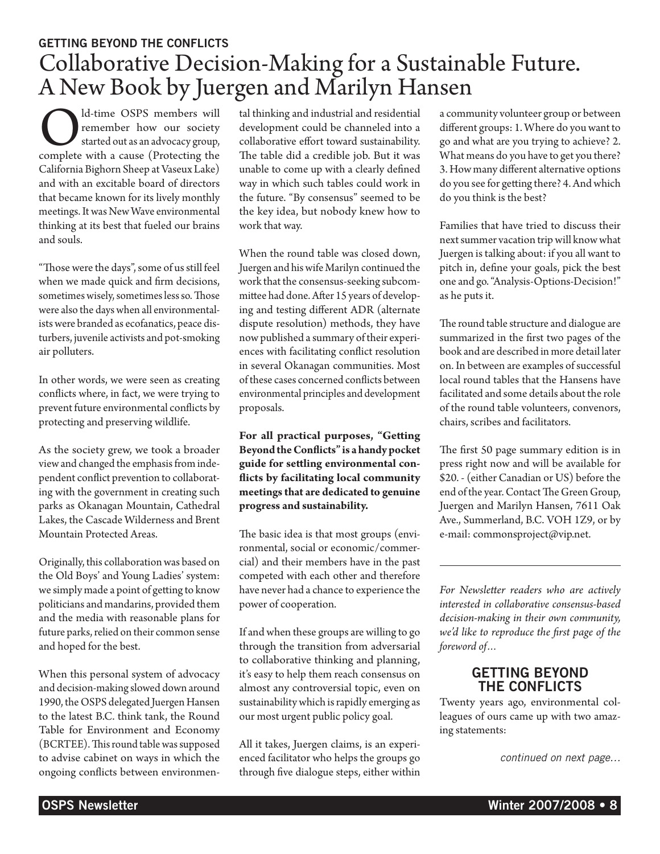# GETTING BEYOND THE CONFLICTS Collaborative Decision-Making for a Sustainable Future. A New Book by Juergen and Marilyn Hansen

**COL** d-time OSPS members will remember how our society started out as an advocacy group, complete with a cause (Protecting the remember how our society started out as an advocacy group, California Bighorn Sheep at Vaseux Lake) and with an excitable board of directors that became known for its lively monthly meetings. It was New Wave environmental thinking at its best that fueled our brains and souls.

"Those were the days", some of us still feel when we made quick and firm decisions, sometimes wisely, sometimes less so. Those were also the days when all environmentalists were branded as ecofanatics, peace disturbers, juvenile activists and pot-smoking air polluters.

In other words, we were seen as creating conflicts where, in fact, we were trying to prevent future environmental conflicts by protecting and preserving wildlife.

As the society grew, we took a broader view and changed the emphasis from independent conflict prevention to collaborating with the government in creating such parks as Okanagan Mountain, Cathedral Lakes, the Cascade Wilderness and Brent Mountain Protected Areas.

Originally, this collaboration was based on the Old Boys' and Young Ladies' system: we simply made a point of getting to know politicians and mandarins, provided them and the media with reasonable plans for future parks, relied on their common sense and hoped for the best.

When this personal system of advocacy and decision-making slowed down around 1990, the OSPS delegated Juergen Hansen to the latest B.C. think tank, the Round Table for Environment and Economy (BCRTEE). This round table was supposed to advise cabinet on ways in which the ongoing conflicts between environmental thinking and industrial and residential development could be channeled into a collaborative effort toward sustainability. The table did a credible job. But it was unable to come up with a clearly defined way in which such tables could work in the future. "By consensus" seemed to be the key idea, but nobody knew how to work that way.

When the round table was closed down, Juergen and his wife Marilyn continued the work that the consensus-seeking subcommittee had done. After 15 years of developing and testing different ADR (alternate dispute resolution) methods, they have now published a summary of their experiences with facilitating conflict resolution in several Okanagan communities. Most of these cases concerned conflicts between environmental principles and development proposals.

**For all practical purposes, "Getting Beyond the Conflicts" is a handy pocket guide for settling environmental conflicts by facilitating local community meetings that are dedicated to genuine progress and sustainability.**

The basic idea is that most groups (environmental, social or economic/commercial) and their members have in the past competed with each other and therefore have never had a chance to experience the power of cooperation.

If and when these groups are willing to go through the transition from adversarial to collaborative thinking and planning, it's easy to help them reach consensus on almost any controversial topic, even on sustainability which is rapidly emerging as our most urgent public policy goal.

All it takes, Juergen claims, is an experienced facilitator who helps the groups go through five dialogue steps, either within

a community volunteer group or between different groups: 1. Where do you want to go and what are you trying to achieve? 2. What means do you have to get you there? 3. How many different alternative options do you see for getting there? 4. And which do you think is the best?

Families that have tried to discuss their next summer vacation trip will know what Juergen is talking about: if you all want to pitch in, define your goals, pick the best one and go. "Analysis-Options-Decision!" as he puts it.

The round table structure and dialogue are summarized in the first two pages of the book and are described in more detail later on. In between are examples of successful local round tables that the Hansens have facilitated and some details about the role of the round table volunteers, convenors, chairs, scribes and facilitators.

The first 50 page summary edition is in press right now and will be available for \$20. - (either Canadian or US) before the end of the year. Contact The Green Group, Juergen and Marilyn Hansen, 7611 Oak Ave., Summerland, B.C. VOH 1Z9, or by e-mail: commonsproject@vip.net.

*For Newsletter readers who are actively interested in collaborative consensus-based decision-making in their own community, we'd like to reproduce the first page of the foreword of…*

#### GETTING BEYOND THE CONFLICTS

Twenty years ago, environmental colleagues of ours came up with two amazing statements:

*continued on next page…*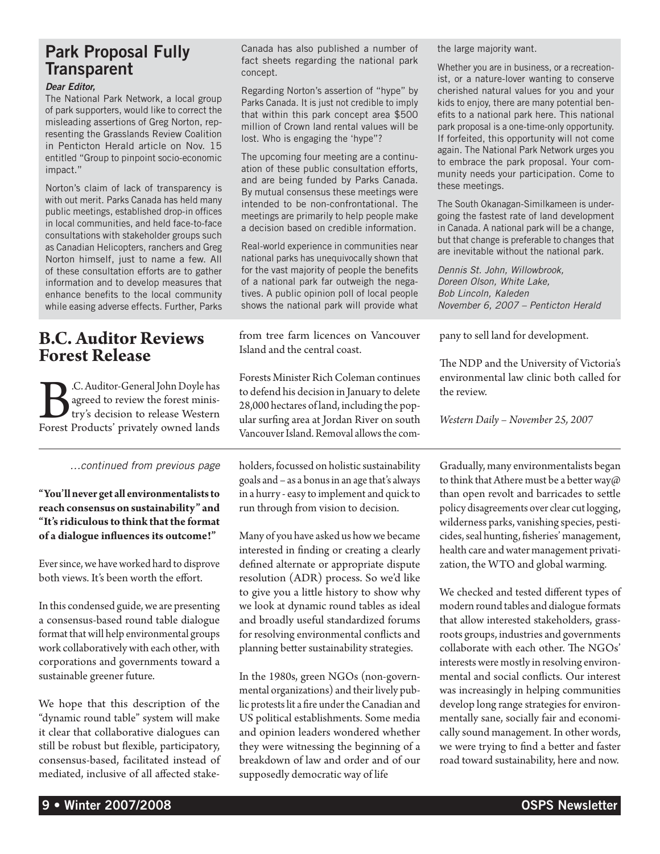## Park Proposal Fully **Transparent**

#### *Dear Editor,*

The National Park Network, a local group of park supporters, would like to correct the misleading assertions of Greg Norton, representing the Grasslands Review Coalition in Penticton Herald article on Nov. 15 entitled "Group to pinpoint socio-economic impact."

Norton's claim of lack of transparency is with out merit. Parks Canada has held many public meetings, established drop-in offices in local communities, and held face-to-face consultations with stakeholder groups such as Canadian Helicopters, ranchers and Greg Norton himself, just to name a few. All of these consultation efforts are to gather information and to develop measures that enhance benefits to the local community while easing adverse effects. Further, Parks

### **B.C. Auditor Reviews Forest Release**

**B.**C. Auditor-General John Doyle has agreed to review the forest ministry's decision to release Western Forest Products' privately owned lands agreed to review the forest ministry's decision to release Western

*…continued from previous page*

**"You'll never get all environmentalists to reach consensus on sustainability" and "It's ridiculous to think that the format of a dialogue influences its outcome!"**

Ever since, we have worked hard to disprove both views. It's been worth the effort.

In this condensed guide, we are presenting a consensus-based round table dialogue format that will help environmental groups work collaboratively with each other, with corporations and governments toward a sustainable greener future.

We hope that this description of the "dynamic round table" system will make it clear that collaborative dialogues can still be robust but flexible, participatory, consensus-based, facilitated instead of mediated, inclusive of all affected stake-

Canada has also published a number of fact sheets regarding the national park concept.

Regarding Norton's assertion of "hype" by Parks Canada. It is just not credible to imply that within this park concept area \$500 million of Crown land rental values will be lost. Who is engaging the 'hype"?

The upcoming four meeting are a continuation of these public consultation efforts, and are being funded by Parks Canada. By mutual consensus these meetings were intended to be non-confrontational. The meetings are primarily to help people make a decision based on credible information.

Real-world experience in communities near national parks has unequivocally shown that for the vast majority of people the benefits of a national park far outweigh the negatives. A public opinion poll of local people shows the national park will provide what

from tree farm licences on Vancouver Island and the central coast.

Forests Minister Rich Coleman continues to defend his decision in January to delete 28,000 hectares of land, including the popular surfing area at Jordan River on south Vancouver Island. Removal allows the com-

holders, focussed on holistic sustainability goals and – as a bonus in an age that's always in a hurry - easy to implement and quick to run through from vision to decision.

Many of you have asked us how we became interested in finding or creating a clearly defined alternate or appropriate dispute resolution (ADR) process. So we'd like to give you a little history to show why we look at dynamic round tables as ideal and broadly useful standardized forums for resolving environmental conflicts and planning better sustainability strategies.

In the 1980s, green NGOs (non-governmental organizations) and their lively public protests lit a fire under the Canadian and US political establishments. Some media and opinion leaders wondered whether they were witnessing the beginning of a breakdown of law and order and of our supposedly democratic way of life

the large majority want.

Whether you are in business, or a recreationist, or a nature-lover wanting to conserve cherished natural values for you and your kids to enjoy, there are many potential benefits to a national park here. This national park proposal is a one-time-only opportunity. If forfeited, this opportunity will not come again. The National Park Network urges you to embrace the park proposal. Your community needs your participation. Come to these meetings.

The South Okanagan-Similkameen is undergoing the fastest rate of land development in Canada. A national park will be a change, but that change is preferable to changes that are inevitable without the national park.

*Dennis St. John, Willowbrook, Doreen Olson, White Lake, Bob Lincoln, Kaleden November 6, 2007 – Penticton Herald*

pany to sell land for development.

The NDP and the University of Victoria's environmental law clinic both called for the review.

*Western Daily – November 25, 2007*

Gradually, many environmentalists began to think that Athere must be a better way@ than open revolt and barricades to settle policy disagreements over clear cut logging, wilderness parks, vanishing species, pesticides, seal hunting, fisheries' management, health care and water management privatization, the WTO and global warming.

We checked and tested different types of modern round tables and dialogue formats that allow interested stakeholders, grassroots groups, industries and governments collaborate with each other. The NGOs' interests were mostly in resolving environmental and social conflicts. Our interest was increasingly in helping communities develop long range strategies for environmentally sane, socially fair and economically sound management. In other words, we were trying to find a better and faster road toward sustainability, here and now.